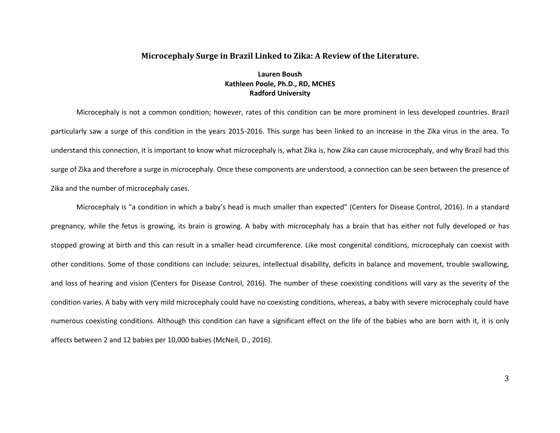### **Microcephaly Surge in Brazil Linked to Zika: A Review of the Literature.**

## **Lauren Boush Kathleen Poole, Ph.D., RD, MCHES Radford University**

Microcephaly is not a common condition; however, rates of this condition can be more prominent in less developed countries. Brazil particularly saw a surge of this condition in the years 2015-2016. This surge has been linked to an increase in the Zika virus in the area. To understand this connection, it is important to know what microcephaly is, what Zika is, how Zika can cause microcephaly, and why Brazil had this surge of Zika and therefore a surge in microcephaly. Once these components are understood, a connection can be seen between the presence of Zika and the number of microcephaly cases.

Microcephaly is "a condition in which a baby's head is much smaller than expected" (Centers for Disease Control, 2016). In a standard pregnancy, while the fetus is growing, its brain is growing. A baby with microcephaly has a brain that has either not fully developed or has stopped growing at birth and this can result in a smaller head circumference. Like most congenital conditions, microcephaly can coexist with other conditions. Some of those conditions can include: seizures, intellectual disability, deficits in balance and movement, trouble swallowing, and loss of hearing and vision (Centers for Disease Control, 2016). The number of these coexisting conditions will vary as the severity of the condition varies. A baby with very mild microcephaly could have no coexisting conditions, whereas, a baby with severe microcephaly could have numerous coexisting conditions. Although this condition can have a significant effect on the life of the babies who are born with it, it is only affects between 2 and 12 babies per 10,000 babies (McNeil, D., 2016).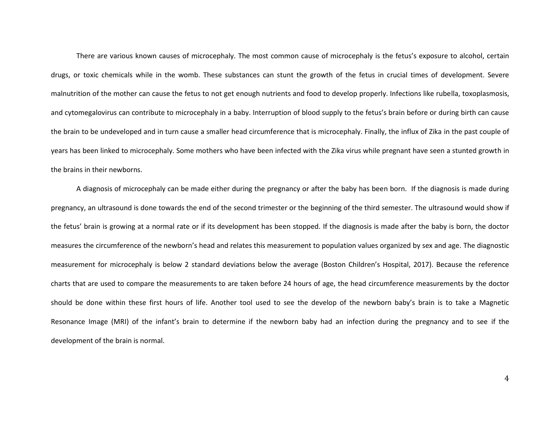There are various known causes of microcephaly. The most common cause of microcephaly is the fetus's exposure to alcohol, certain drugs, or toxic chemicals while in the womb. These substances can stunt the growth of the fetus in crucial times of development. Severe malnutrition of the mother can cause the fetus to not get enough nutrients and food to develop properly. Infections like rubella, toxoplasmosis, and cytomegalovirus can contribute to microcephaly in a baby. Interruption of blood supply to the fetus's brain before or during birth can cause the brain to be undeveloped and in turn cause a smaller head circumference that is microcephaly. Finally, the influx of Zika in the past couple of years has been linked to microcephaly. Some mothers who have been infected with the Zika virus while pregnant have seen a stunted growth in the brains in their newborns.

A diagnosis of microcephaly can be made either during the pregnancy or after the baby has been born. If the diagnosis is made during pregnancy, an ultrasound is done towards the end of the second trimester or the beginning of the third semester. The ultrasound would show if the fetus' brain is growing at a normal rate or if its development has been stopped. If the diagnosis is made after the baby is born, the doctor measures the circumference of the newborn's head and relates this measurement to population values organized by sex and age. The diagnostic measurement for microcephaly is below 2 standard deviations below the average (Boston Children's Hospital, 2017). Because the reference charts that are used to compare the measurements to are taken before 24 hours of age, the head circumference measurements by the doctor should be done within these first hours of life. Another tool used to see the develop of the newborn baby's brain is to take a Magnetic Resonance Image (MRI) of the infant's brain to determine if the newborn baby had an infection during the pregnancy and to see if the development of the brain is normal.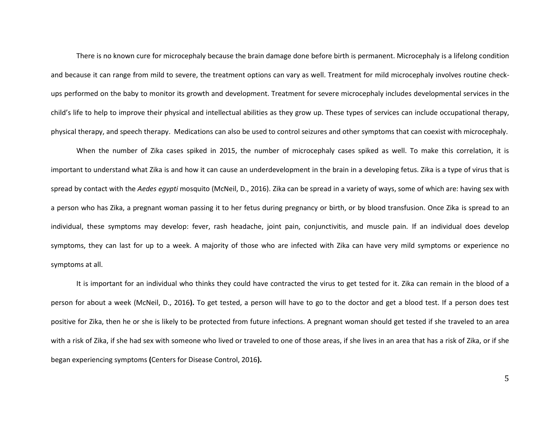There is no known cure for microcephaly because the brain damage done before birth is permanent. Microcephaly is a lifelong condition and because it can range from mild to severe, the treatment options can vary as well. Treatment for mild microcephaly involves routine checkups performed on the baby to monitor its growth and development. Treatment for severe microcephaly includes developmental services in the child's life to help to improve their physical and intellectual abilities as they grow up. These types of services can include occupational therapy, physical therapy, and speech therapy. Medications can also be used to control seizures and other symptoms that can coexist with microcephaly.

When the number of Zika cases spiked in 2015, the number of microcephaly cases spiked as well. To make this correlation, it is important to understand what Zika is and how it can cause an underdevelopment in the brain in a developing fetus. Zika is a type of virus that is spread by contact with the *Aedes egypti* mosquito (McNeil, D., 2016). Zika can be spread in a variety of ways, some of which are: having sex with a person who has Zika, a pregnant woman passing it to her fetus during pregnancy or birth, or by blood transfusion. Once Zika is spread to an individual, these symptoms may develop: fever, rash headache, joint pain, conjunctivitis, and muscle pain. If an individual does develop symptoms, they can last for up to a week. A majority of those who are infected with Zika can have very mild symptoms or experience no symptoms at all.

It is important for an individual who thinks they could have contracted the virus to get tested for it. Zika can remain in the blood of a person for about a week (McNeil, D., 2016**).** To get tested, a person will have to go to the doctor and get a blood test. If a person does test positive for Zika, then he or she is likely to be protected from future infections. A pregnant woman should get tested if she traveled to an area with a risk of Zika, if she had sex with someone who lived or traveled to one of those areas, if she lives in an area that has a risk of Zika, or if she began experiencing symptoms **(**Centers for Disease Control, 2016**).**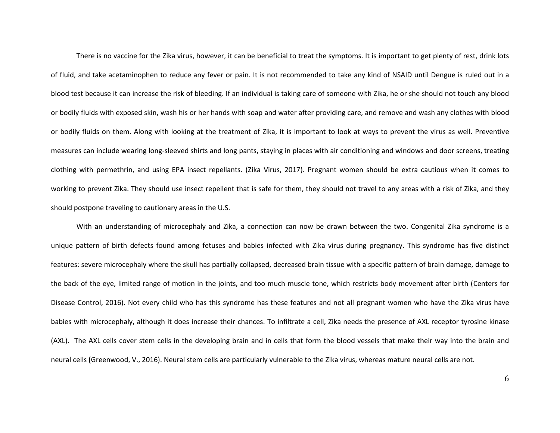There is no vaccine for the Zika virus, however, it can be beneficial to treat the symptoms. It is important to get plenty of rest, drink lots of fluid, and take acetaminophen to reduce any fever or pain. It is not recommended to take any kind of NSAID until Dengue is ruled out in a blood test because it can increase the risk of bleeding. If an individual is taking care of someone with Zika, he or she should not touch any blood or bodily fluids with exposed skin, wash his or her hands with soap and water after providing care, and remove and wash any clothes with blood or bodily fluids on them. Along with looking at the treatment of Zika, it is important to look at ways to prevent the virus as well. Preventive measures can include wearing long-sleeved shirts and long pants, staying in places with air conditioning and windows and door screens, treating clothing with permethrin, and using EPA insect repellants. (Zika Virus, 2017). Pregnant women should be extra cautious when it comes to working to prevent Zika. They should use insect repellent that is safe for them, they should not travel to any areas with a risk of Zika, and they should postpone traveling to cautionary areas in the U.S.

With an understanding of microcephaly and Zika, a connection can now be drawn between the two. Congenital Zika syndrome is a unique pattern of birth defects found among fetuses and babies infected with Zika virus during pregnancy. This syndrome has five distinct features: severe microcephaly where the skull has partially collapsed, decreased brain tissue with a specific pattern of brain damage, damage to the back of the eye, limited range of motion in the joints, and too much muscle tone, which restricts body movement after birth (Centers for Disease Control, 2016). Not every child who has this syndrome has these features and not all pregnant women who have the Zika virus have babies with microcephaly, although it does increase their chances. To infiltrate a cell, Zika needs the presence of AXL receptor tyrosine kinase (AXL). The AXL cells cover stem cells in the developing brain and in cells that form the blood vessels that make their way into the brain and neural cells **(**Greenwood, V., 2016). Neural stem cells are particularly vulnerable to the Zika virus, whereas mature neural cells are not.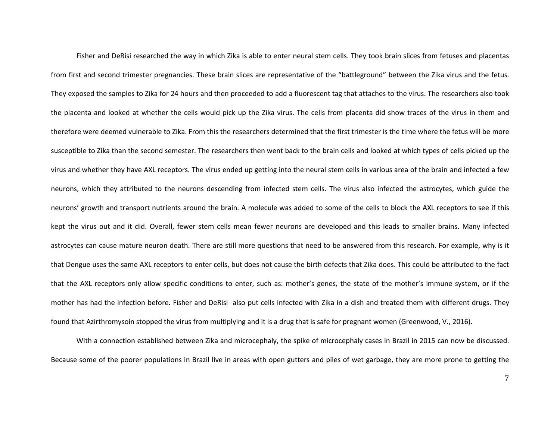Fisher and DeRisi researched the way in which Zika is able to enter neural stem cells. They took brain slices from fetuses and placentas from first and second trimester pregnancies. These brain slices are representative of the "battleground" between the Zika virus and the fetus. They exposed the samples to Zika for 24 hours and then proceeded to add a fluorescent tag that attaches to the virus. The researchers also took the placenta and looked at whether the cells would pick up the Zika virus. The cells from placenta did show traces of the virus in them and therefore were deemed vulnerable to Zika. From this the researchers determined that the first trimester is the time where the fetus will be more susceptible to Zika than the second semester. The researchers then went back to the brain cells and looked at which types of cells picked up the virus and whether they have AXL receptors. The virus ended up getting into the neural stem cells in various area of the brain and infected a few neurons, which they attributed to the neurons descending from infected stem cells. The virus also infected the astrocytes, which guide the neurons' growth and transport nutrients around the brain. A molecule was added to some of the cells to block the AXL receptors to see if this kept the virus out and it did. Overall, fewer stem cells mean fewer neurons are developed and this leads to smaller brains. Many infected astrocytes can cause mature neuron death. There are still more questions that need to be answered from this research. For example, why is it that Dengue uses the same AXL receptors to enter cells, but does not cause the birth defects that Zika does. This could be attributed to the fact that the AXL receptors only allow specific conditions to enter, such as: mother's genes, the state of the mother's immune system, or if the mother has had the infection before. Fisher and DeRisi also put cells infected with Zika in a dish and treated them with different drugs. They found that Azirthromysoin stopped the virus from multiplying and it is a drug that is safe for pregnant women (Greenwood, V., 2016).

With a connection established between Zika and microcephaly, the spike of microcephaly cases in Brazil in 2015 can now be discussed. Because some of the poorer populations in Brazil live in areas with open gutters and piles of wet garbage, they are more prone to getting the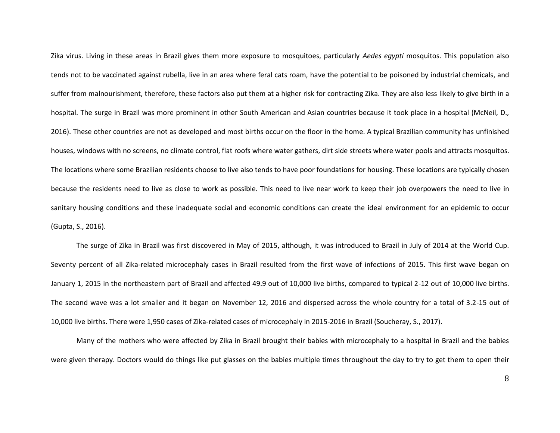Zika virus. Living in these areas in Brazil gives them more exposure to mosquitoes, particularly *Aedes egypti* mosquitos. This population also tends not to be vaccinated against rubella, live in an area where feral cats roam, have the potential to be poisoned by industrial chemicals, and suffer from malnourishment, therefore, these factors also put them at a higher risk for contracting Zika. They are also less likely to give birth in a hospital. The surge in Brazil was more prominent in other South American and Asian countries because it took place in a hospital (McNeil, D., 2016). These other countries are not as developed and most births occur on the floor in the home. A typical Brazilian community has unfinished houses, windows with no screens, no climate control, flat roofs where water gathers, dirt side streets where water pools and attracts mosquitos. The locations where some Brazilian residents choose to live also tends to have poor foundations for housing. These locations are typically chosen because the residents need to live as close to work as possible. This need to live near work to keep their job overpowers the need to live in sanitary housing conditions and these inadequate social and economic conditions can create the ideal environment for an epidemic to occur (Gupta, S., 2016).

The surge of Zika in Brazil was first discovered in May of 2015, although, it was introduced to Brazil in July of 2014 at the World Cup. Seventy percent of all Zika-related microcephaly cases in Brazil resulted from the first wave of infections of 2015. This first wave began on January 1, 2015 in the northeastern part of Brazil and affected 49.9 out of 10,000 live births, compared to typical 2-12 out of 10,000 live births. The second wave was a lot smaller and it began on November 12, 2016 and dispersed across the whole country for a total of 3.2-15 out of 10,000 live births. There were 1,950 cases of Zika-related cases of microcephaly in 2015-2016 in Brazil (Soucheray, S., 2017).

Many of the mothers who were affected by Zika in Brazil brought their babies with microcephaly to a hospital in Brazil and the babies were given therapy. Doctors would do things like put glasses on the babies multiple times throughout the day to try to get them to open their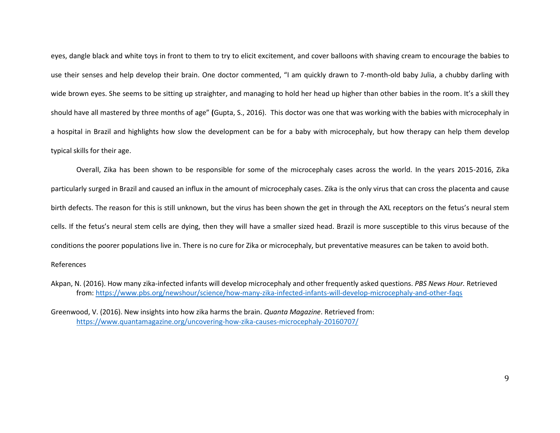eyes, dangle black and white toys in front to them to try to elicit excitement, and cover balloons with shaving cream to encourage the babies to use their senses and help develop their brain. One doctor commented, "I am quickly drawn to 7-month-old baby Julia, a chubby darling with wide brown eyes. She seems to be sitting up straighter, and managing to hold her head up higher than other babies in the room. It's a skill they should have all mastered by three months of age" **(**Gupta, S., 2016).This doctor was one that was working with the babies with microcephaly in a hospital in Brazil and highlights how slow the development can be for a baby with microcephaly, but how therapy can help them develop typical skills for their age.

Overall, Zika has been shown to be responsible for some of the microcephaly cases across the world. In the years 2015-2016, Zika particularly surged in Brazil and caused an influx in the amount of microcephaly cases. Zika is the only virus that can cross the placenta and cause birth defects. The reason for this is still unknown, but the virus has been shown the get in through the AXL receptors on the fetus's neural stem cells. If the fetus's neural stem cells are dying, then they will have a smaller sized head. Brazil is more susceptible to this virus because of the conditions the poorer populations live in. There is no cure for Zika or microcephaly, but preventative measures can be taken to avoid both.

#### References

Akpan, N. (2016). How many zika-infected infants will develop microcephaly and other frequently asked questions. *PBS News Hour.* Retrieved from:<https://www.pbs.org/newshour/science/how-many-zika-infected-infants-will-develop-microcephaly-and-other-faqs>

Greenwood, V. (2016). New insights into how zika harms the brain. *Quanta Magazine*. Retrieved from: <https://www.quantamagazine.org/uncovering-how-zika-causes-microcephaly-20160707/>